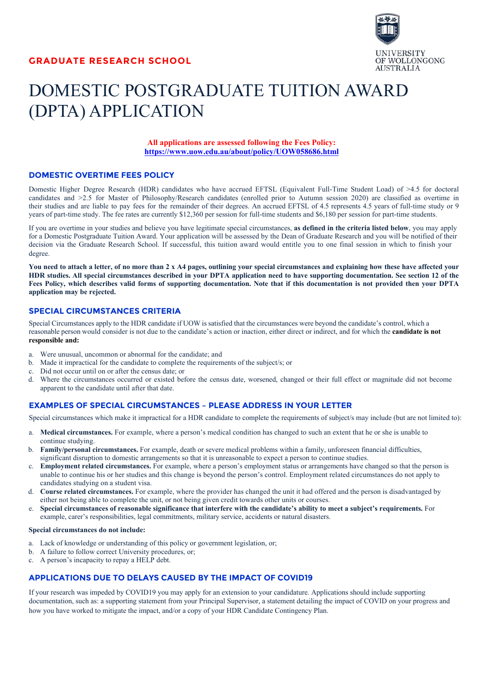

# DOMESTIC POSTGRADUATE TUITION AWARD (DPTA) APPLICATION

**All applications are assessed following the Fees Policy: https://www.uow.edu.au/about/policy/UOW058686.html**

### **DOMESTIC OVERTIME FEES POLICY**

Domestic Higher Degree Research (HDR) candidates who have accrued EFTSL (Equivalent Full-Time Student Load) of >4.5 for doctoral candidates and >2.5 for Master of Philosophy/Research candidates (enrolled prior to Autumn session 2020) are classified as overtime in their studies and are liable to pay fees for the remainder of their degrees. An accrued EFTSL of 4.5 represents 4.5 years of full-time study or 9 years of part-time study. The fee rates are currently \$12,360 per session for full-time students and \$6,180 per session for part-time students.

If you are overtime in your studies and believe you have legitimate special circumstances, **as defined in the criteria listed below**, you may apply for a Domestic Postgraduate Tuition Award. Your application will be assessed by the Dean of Graduate Research and you will be notified of their decision via the Graduate Research School. If successful, this tuition award would entitle you to one final session in which to finish your degree.

**You need to attach a letter, of no more than 2 x A4 pages, outlining your special circumstances and explaining how these have affected your HDR studies. All special circumstances described in your DPTA application need to have supporting documentation. See section 12 of the Fees Policy, which describes valid forms of supporting documentation. Note that if this documentation is not provided then your DPTA application may be rejected.**

#### **SPECIAL CIRCUMSTANCES CRITERIA**

Special Circumstances apply to the HDR candidate if UOW is satisfied that the circumstances were beyond the candidate's control, which a reasonable person would consider is not due to the candidate's action or inaction, either direct or indirect, and for which the **candidate is not responsible and:**

- a. Were unusual, uncommon or abnormal for the candidate; and
- b. Made it impractical for the candidate to complete the requirements of the subject/s; or
- c. Did not occur until on or after the census date; or
- d. Where the circumstances occurred or existed before the census date, worsened, changed or their full effect or magnitude did not become apparent to the candidate until after that date.

### **EXAMPLES OF SPECIAL CIRCUMSTANCES – PLEASE ADDRESS IN YOUR LETTER**

Special circumstances which make it impractical for a HDR candidate to complete the requirements of subject/s may include (but are not limited to):

- a. **Medical circumstances.** For example, where a person's medical condition has changed to such an extent that he or she is unable to continue studying.
- b. **Family/personal circumstances.** For example, death or severe medical problems within a family, unforeseen financial difficulties, significant disruption to domestic arrangements so that it is unreasonable to expect a person to continue studies.
- c. **Employment related circumstances.** For example, where a person's employment status or arrangements have changed so that the person is unable to continue his or her studies and this change is beyond the person's control. Employment related circumstances do not apply to candidates studying on a student visa.
- d. **Course related circumstances.** For example, where the provider has changed the unit it had offered and the person is disadvantaged by either not being able to complete the unit, or not being given credit towards other units or courses.
- e. **Special circumstances of reasonable significance that interfere with the candidate's ability to meet a subject's requirements.** For example, carer's responsibilities, legal commitments, military service, accidents or natural disasters.

#### **Special circumstances do not include:**

- a. Lack of knowledge or understanding of this policy or government legislation, or;
- b. A failure to follow correct University procedures, or;
- c. A person's incapacity to repay a HELP debt.

### **APPLICATIONS DUE TO DELAYS CAUSED BY THE IMPACT OF COVID19**

If your research was impeded by COVID19 you may apply for an extension to your candidature. Applications should include supporting documentation, such as: a supporting statement from your Principal Supervisor, a statement detailing the impact of COVID on your progress and how you have worked to mitigate the impact, and/or a copy of your HDR Candidate Contingency Plan.